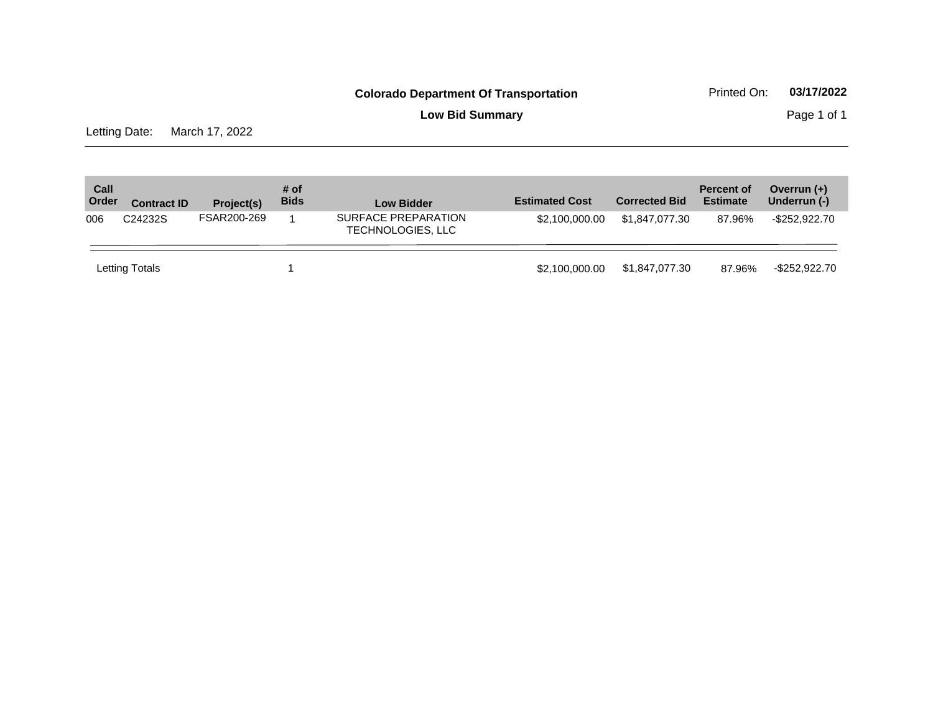**Low Bid Summary Page 1 of 1** 

Letting Date: March 17, 2022

| Call<br>Order | <b>Contract ID</b>   | Project(s)  | # of<br><b>Bids</b> | <b>Low Bidder</b>                        | <b>Estimated Cost</b> | <b>Corrected Bid</b> | <b>Percent of</b><br><b>Estimate</b> | Overrun $(+)$<br>Underrun (-) |
|---------------|----------------------|-------------|---------------------|------------------------------------------|-----------------------|----------------------|--------------------------------------|-------------------------------|
| 006           | C <sub>24232</sub> S | FSAR200-269 |                     | SURFACE PREPARATION<br>TECHNOLOGIES, LLC | \$2,100,000.00        | \$1.847.077.30       | 87.96%                               | -\$252.922.70                 |
|               | Letting Totals       |             |                     |                                          | \$2,100,000,00        | \$1.847.077.30       | 87.96%                               | -\$252,922.70                 |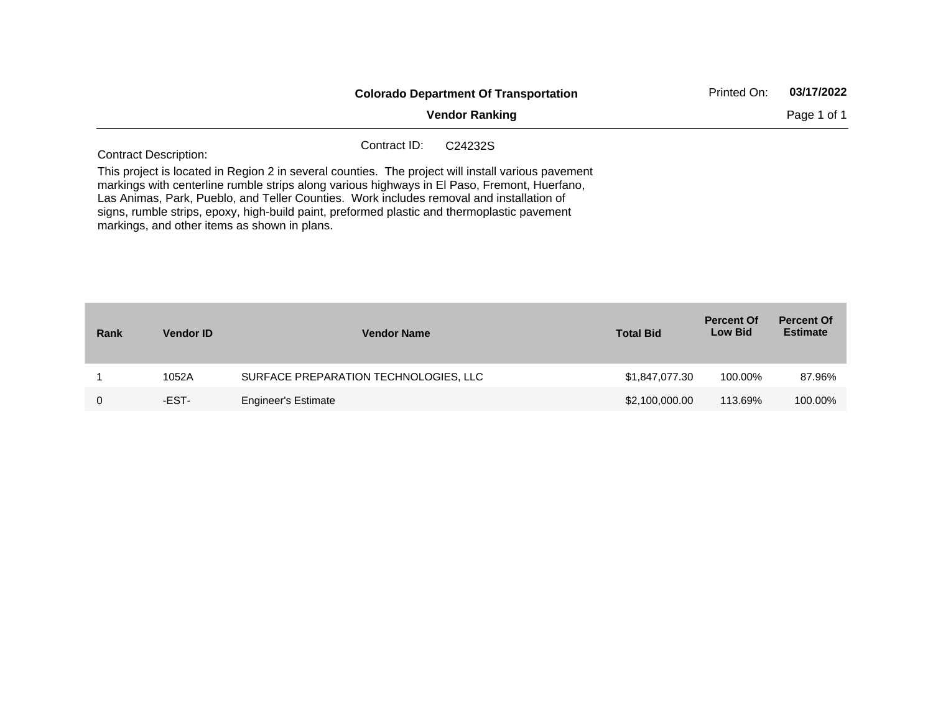|                                                                                                                                                                                                                                                                                                                                                                                                                                               |              | <b>Colorado Department Of Transportation</b> | Printed On: | 03/17/2022  |
|-----------------------------------------------------------------------------------------------------------------------------------------------------------------------------------------------------------------------------------------------------------------------------------------------------------------------------------------------------------------------------------------------------------------------------------------------|--------------|----------------------------------------------|-------------|-------------|
|                                                                                                                                                                                                                                                                                                                                                                                                                                               |              | <b>Vendor Ranking</b>                        |             | Page 1 of 1 |
| <b>Contract Description:</b>                                                                                                                                                                                                                                                                                                                                                                                                                  | Contract ID: | C <sub>24232</sub> S                         |             |             |
| This project is located in Region 2 in several counties. The project will install various pavement<br>markings with centerline rumble strips along various highways in El Paso, Fremont, Huerfano,<br>Las Animas, Park, Pueblo, and Teller Counties. Work includes removal and installation of<br>signs, rumble strips, epoxy, high-build paint, preformed plastic and thermoplastic pavement<br>markings, and other items as shown in plans. |              |                                              |             |             |

| Rank | <b>Vendor ID</b> | <b>Vendor Name</b>                    | <b>Total Bid</b> | <b>Percent Of</b><br><b>Low Bid</b> | <b>Percent Of</b><br><b>Estimate</b> |
|------|------------------|---------------------------------------|------------------|-------------------------------------|--------------------------------------|
|      | 1052A            | SURFACE PREPARATION TECHNOLOGIES, LLC | \$1,847,077.30   | 100.00%                             | 87.96%                               |
|      | -EST-            | Engineer's Estimate                   | \$2,100,000.00   | 113.69%                             | 100.00%                              |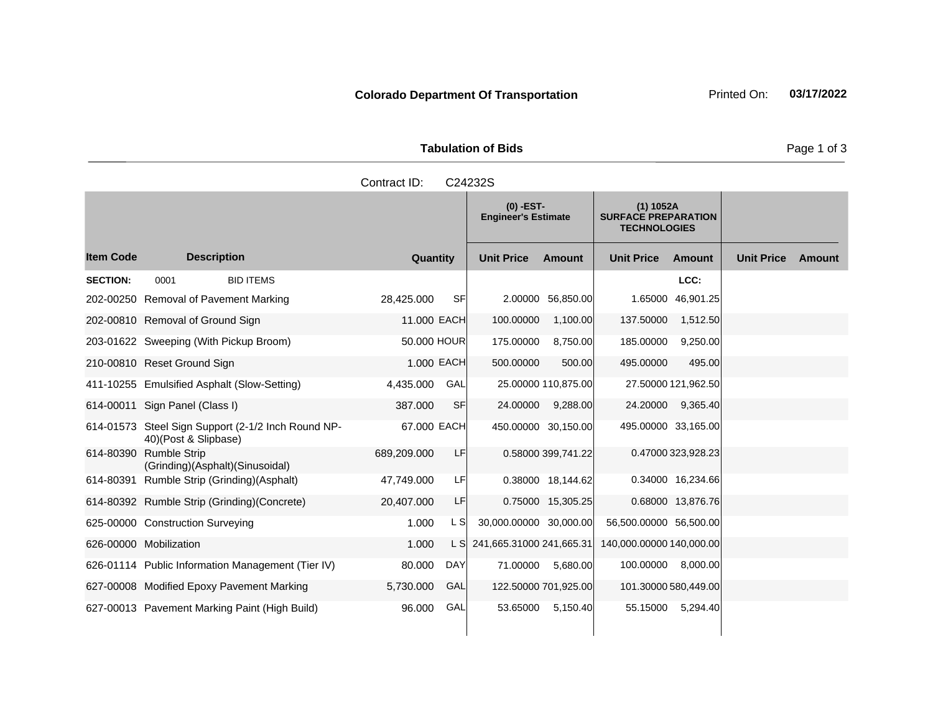**Tabulation of Bids** Page 1 of 3

|                 |                                                                            | Contract ID: |            | C24232S                                   |                     |                                                                  |                     |                   |        |
|-----------------|----------------------------------------------------------------------------|--------------|------------|-------------------------------------------|---------------------|------------------------------------------------------------------|---------------------|-------------------|--------|
|                 |                                                                            |              |            | $(0)$ -EST-<br><b>Engineer's Estimate</b> |                     | $(1)$ 1052A<br><b>SURFACE PREPARATION</b><br><b>TECHNOLOGIES</b> |                     |                   |        |
| ltem Code       | <b>Description</b>                                                         | Quantity     |            | <b>Unit Price</b>                         | Amount              | <b>Unit Price</b>                                                | Amount              | <b>Unit Price</b> | Amount |
| <b>SECTION:</b> | <b>BID ITEMS</b><br>0001                                                   |              |            |                                           |                     |                                                                  | LCC:                |                   |        |
|                 | 202-00250 Removal of Pavement Marking                                      | 28,425.000   | <b>SF</b>  |                                           | 2.00000 56,850.00   | 1.65000                                                          | 46,901.25           |                   |        |
|                 | 202-00810 Removal of Ground Sign                                           | 11.000 EACH  |            | 100.00000                                 | 1,100.00            | 137.50000                                                        | 1,512.50            |                   |        |
|                 | 203-01622 Sweeping (With Pickup Broom)                                     | 50,000 HOUR  |            | 175.00000                                 | 8,750.00            | 185.00000                                                        | 9,250.00            |                   |        |
|                 | 210-00810 Reset Ground Sign                                                | 1.000 EACH   |            | 500.00000                                 | 500.00              | 495.00000                                                        | 495.00              |                   |        |
|                 | 411-10255 Emulsified Asphalt (Slow-Setting)                                | 4,435.000    | GAL        |                                           | 25.00000 110,875.00 |                                                                  | 27.50000 121,962.50 |                   |        |
|                 | 614-00011 Sign Panel (Class I)                                             | 387.000      | <b>SF</b>  | 24.00000                                  | 9,288.00            | 24.20000                                                         | 9,365.40            |                   |        |
|                 | 614-01573 Steel Sign Support (2-1/2 Inch Round NP-<br>40)(Post & Slipbase) | 67,000 EACH  |            |                                           | 450.00000 30,150.00 | 495.00000 33,165.00                                              |                     |                   |        |
|                 | 614-80390 Rumble Strip<br>(Grinding)(Asphalt)(Sinusoidal)                  | 689,209.000  | LF         |                                           | 0.58000 399,741.22  |                                                                  | 0.47000 323,928.23  |                   |        |
|                 | 614-80391 Rumble Strip (Grinding)(Asphalt)                                 | 47,749.000   | LF         |                                           | 0.38000 18,144.62   |                                                                  | 0.34000 16,234.66   |                   |        |
|                 | 614-80392 Rumble Strip (Grinding)(Concrete)                                | 20,407.000   | LF         |                                           | 0.75000 15,305.25   |                                                                  | 0.68000 13,876.76   |                   |        |
|                 | 625-00000 Construction Surveying                                           | 1.000        | L S        | 30,000.00000 30,000.00                    |                     | 56,500.00000 56,500.00                                           |                     |                   |        |
|                 | 626-00000 Mobilization                                                     | 1.000        | L SI       | 241,665.31000 241,665.31                  |                     | 140,000.00000 140,000.00                                         |                     |                   |        |
|                 | 626-01114 Public Information Management (Tier IV)                          | 80.000       | <b>DAY</b> | 71.00000                                  | 5,680.00            | 100.00000                                                        | 8,000.00            |                   |        |

627-00008 Modified Epoxy Pavement Marking 5,730.000 GAL 122.50000 701,925.00 101.30000 580,449.00 627-00013 Pavement Marking Paint (High Build) 96.000 GAL 53.65000 5,150.40 55.15000 5,294.40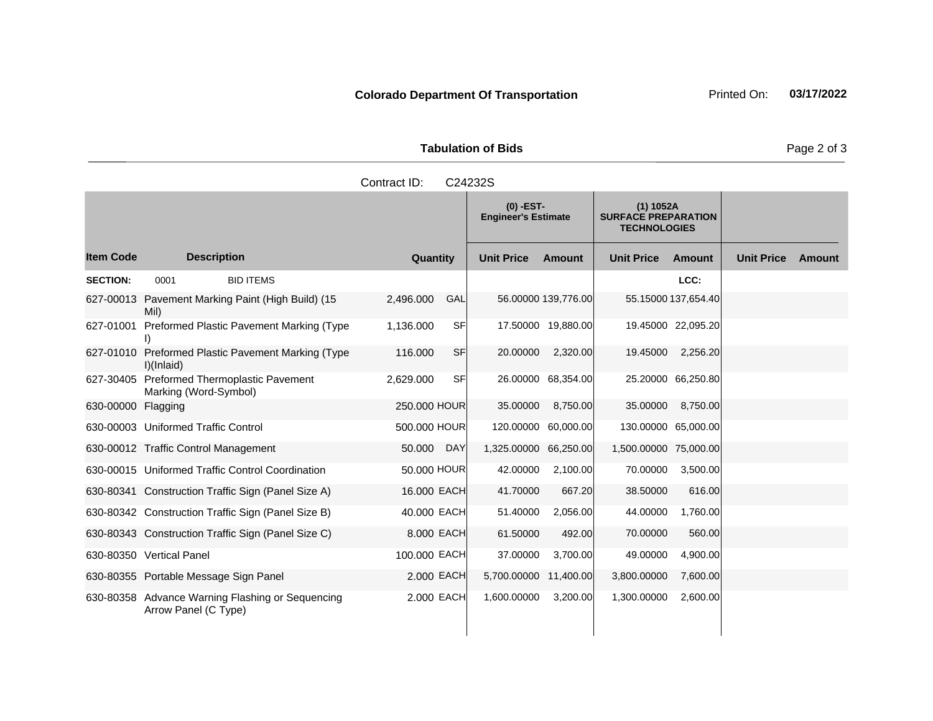**Tabulation of Bids** Page 2 of 3

| Contract ID:<br>C24232S                |      |                                                   |          |                                           |     |                   |                                                                  |                   |                     |                   |
|----------------------------------------|------|---------------------------------------------------|----------|-------------------------------------------|-----|-------------------|------------------------------------------------------------------|-------------------|---------------------|-------------------|
|                                        |      |                                                   |          | $(0)$ -EST-<br><b>Engineer's Estimate</b> |     |                   | $(1)$ 1052A<br><b>SURFACE PREPARATION</b><br><b>TECHNOLOGIES</b> |                   |                     |                   |
| <b>Item Code</b><br><b>Description</b> |      |                                                   | Quantity |                                           |     | <b>Unit Price</b> | Amount                                                           | <b>Unit Price</b> | <b>Amount</b>       | <b>Unit Price</b> |
| <b>SECTION:</b>                        | 0001 | <b>BID ITEMS</b>                                  |          |                                           |     |                   |                                                                  |                   | LCC:                |                   |
|                                        | Mil) | 627-00013 Pavement Marking Paint (High Build) (15 |          | 2,496.000                                 | GAL |                   | 56.00000 139,776.00                                              |                   | 55.15000 137.654.40 |                   |

**Ext Amount**

| <b>SECTION:</b> | 0001                                                                     | <b>BID ITEMS</b> |              |            |             |                     |                       | LCC:                |  |
|-----------------|--------------------------------------------------------------------------|------------------|--------------|------------|-------------|---------------------|-----------------------|---------------------|--|
|                 | 627-00013 Pavement Marking Paint (High Build) (15<br>Mil)                |                  | 2,496.000    | GAL        |             | 56.00000 139,776.00 |                       | 55.15000 137.654.40 |  |
| 627-01001       | Preformed Plastic Pavement Marking (Type                                 |                  | 1,136.000    | <b>SF</b>  |             | 17.50000 19,880.00  |                       | 19.45000 22,095.20  |  |
| 627-01010       | Preformed Plastic Pavement Marking (Type<br>I)(Inlaid)                   |                  | 116,000      | SF         | 20.00000    | 2,320.00            | 19.45000              | 2,256.20            |  |
| 627-30405       | Preformed Thermoplastic Pavement<br>Marking (Word-Symbol)                |                  | 2,629.000    | <b>SF</b>  |             | 26.00000 68,354.00  |                       | 25.20000 66,250.80  |  |
| 630-00000       | Flagging                                                                 |                  | 250.000 HOUR |            | 35.00000    | 8,750.00            | 35.00000              | 8,750.00            |  |
|                 | 630-00003 Uniformed Traffic Control                                      |                  | 500.000 HOUR |            |             | 120.00000 60,000.00 | 130.00000 65,000.00   |                     |  |
|                 | 630-00012 Traffic Control Management                                     |                  | 50.000       | <b>DAY</b> | 1,325.00000 | 66,250.00           | 1,500.00000 75,000.00 |                     |  |
|                 | 630-00015 Uniformed Traffic Control Coordination                         |                  | 50,000 HOUR  |            | 42.00000    | 2,100.00            | 70.00000              | 3,500.00            |  |
|                 | 630-80341 Construction Traffic Sign (Panel Size A)                       |                  | 16.000 EACH  |            | 41.70000    | 667.20              | 38.50000              | 616.00              |  |
|                 | 630-80342 Construction Traffic Sign (Panel Size B)                       |                  | 40,000 EACH  |            | 51.40000    | 2,056.00            | 44.00000              | 1,760.00            |  |
|                 | 630-80343 Construction Traffic Sign (Panel Size C)                       |                  |              | 8.000 EACH | 61.50000    | 492.00              | 70.00000              | 560.00              |  |
|                 | 630-80350 Vertical Panel                                                 |                  | 100.000 EACH |            | 37.00000    | 3,700.00            | 49.00000              | 4,900.00            |  |
|                 | 630-80355 Portable Message Sign Panel                                    |                  |              | 2.000 EACH | 5,700,00000 | 11,400.00           | 3,800.00000           | 7,600.00            |  |
|                 | 630-80358 Advance Warning Flashing or Sequencing<br>Arrow Panel (C Type) |                  |              | 2.000 EACH | 1,600.00000 | 3,200.00            | 1,300.00000           | 2,600.00            |  |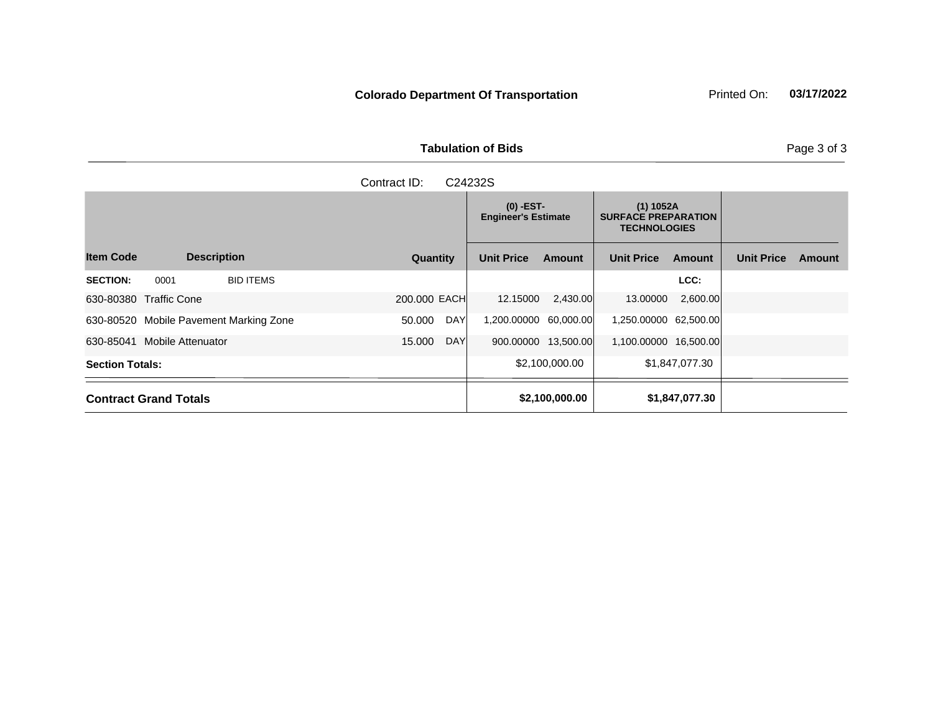**Tabulation of Bids Page 3 of 3** 

| Contract ID:<br>C24232S                |      |                  |              |                                           |               |                                                                  |               |                   |  |  |  |
|----------------------------------------|------|------------------|--------------|-------------------------------------------|---------------|------------------------------------------------------------------|---------------|-------------------|--|--|--|
| <b>Item Code</b><br><b>Description</b> |      |                  |              | $(0)$ -EST-<br><b>Engineer's Estimate</b> |               | $(1)$ 1052A<br><b>SURFACE PREPARATION</b><br><b>TECHNOLOGIES</b> |               |                   |  |  |  |
|                                        |      |                  | Quantity     | <b>Unit Price</b>                         | <b>Amount</b> | <b>Unit Price</b>                                                | <b>Amount</b> | <b>Unit Price</b> |  |  |  |
| <b>SECTION:</b>                        | 0001 | <b>BID ITEMS</b> |              |                                           |               |                                                                  | LCC:          |                   |  |  |  |
| 630-80380 Traffic Cone                 |      |                  | 200.000 EACH | 12.15000                                  | 2,430.00      | 13.00000                                                         | 2,600.00      |                   |  |  |  |

630-80520 Mobile Pavement Marking Zone 50.000 DAY 1,200.00000 60,000.00 1,250.00000 62,500.00 630-85041 Mobile Attenuator 15.000 DAY 900.00000 13,500.00 1,100.00000 16,500.00 **Section Totals:** \$1,847,077.30

**Contract Grand Totals 61,847,077.30 \$2,100,000.00 \$1,847,077.30** 

**Ext Amount**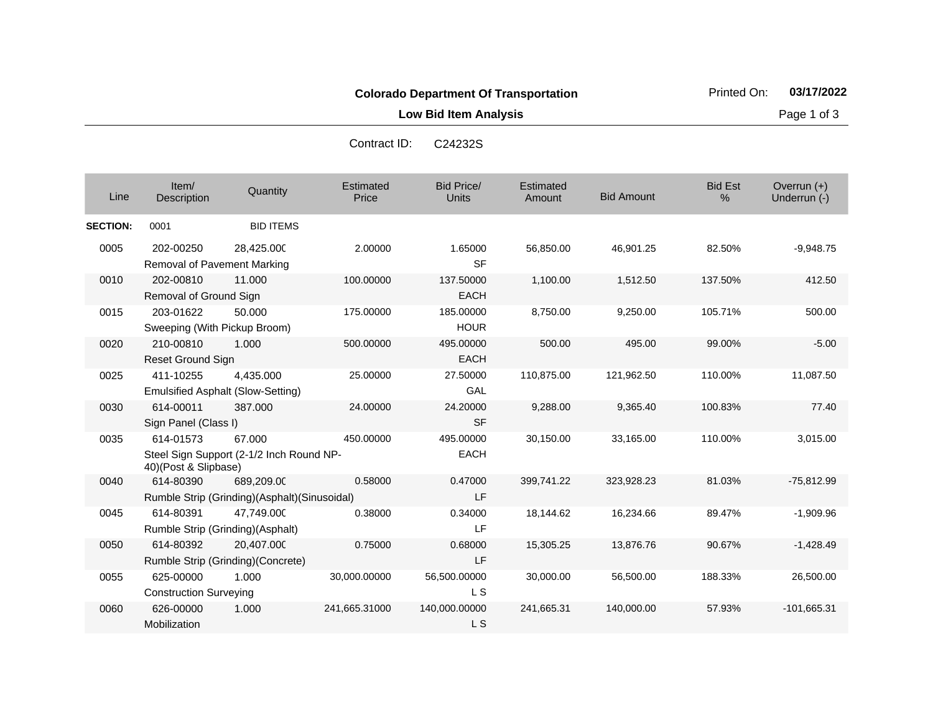**Low Bid Item Analysis Page 1 of 3** 

| Contract ID: | C24232S |
|--------------|---------|
|--------------|---------|

| Line            | Item/<br>Description                           | Quantity                                                   | Estimated<br>Price | <b>Bid Price/</b><br><b>Units</b> | Estimated<br>Amount | <b>Bid Amount</b> | <b>Bid Est</b><br>% | Overrun $(+)$<br>Underrun (-) |
|-----------------|------------------------------------------------|------------------------------------------------------------|--------------------|-----------------------------------|---------------------|-------------------|---------------------|-------------------------------|
| <b>SECTION:</b> | 0001                                           | <b>BID ITEMS</b>                                           |                    |                                   |                     |                   |                     |                               |
| 0005            | 202-00250<br>Removal of Pavement Marking       | 28,425.000                                                 | 2.00000            | 1.65000<br><b>SF</b>              | 56,850.00           | 46,901.25         | 82.50%              | $-9,948.75$                   |
| 0010            | 202-00810<br>Removal of Ground Sign            | 11.000                                                     | 100.00000          | 137.50000<br><b>EACH</b>          | 1,100.00            | 1,512.50          | 137.50%             | 412.50                        |
| 0015            | 203-01622<br>Sweeping (With Pickup Broom)      | 50.000                                                     | 175.00000          | 185.00000<br><b>HOUR</b>          | 8,750.00            | 9,250.00          | 105.71%             | 500.00                        |
| 0020            | 210-00810<br><b>Reset Ground Sign</b>          | 1.000                                                      | 500.00000          | 495.00000<br><b>EACH</b>          | 500.00              | 495.00            | 99.00%              | $-5.00$                       |
| 0025            | 411-10255                                      | 4.435.000<br><b>Emulsified Asphalt (Slow-Setting)</b>      | 25.00000           | 27.50000<br>GAL                   | 110,875.00          | 121,962.50        | 110.00%             | 11,087.50                     |
| 0030            | 614-00011<br>Sign Panel (Class I)              | 387.000                                                    | 24.00000           | 24.20000<br><b>SF</b>             | 9,288.00            | 9,365.40          | 100.83%             | 77.40                         |
| 0035            | 614-01573<br>40)(Post & Slipbase)              | 67.000<br>Steel Sign Support (2-1/2 Inch Round NP-         | 450.00000          | 495.00000<br><b>EACH</b>          | 30,150.00           | 33,165.00         | 110.00%             | 3,015.00                      |
| 0040            | 614-80390                                      | 689,209.00<br>Rumble Strip (Grinding)(Asphalt)(Sinusoidal) | 0.58000            | 0.47000<br>LF                     | 399,741.22          | 323,928.23        | 81.03%              | $-75,812.99$                  |
| 0045            | 614-80391<br>Rumble Strip (Grinding) (Asphalt) | 47,749.000                                                 | 0.38000            | 0.34000<br><b>LF</b>              | 18,144.62           | 16,234.66         | 89.47%              | $-1,909.96$                   |
| 0050            | 614-80392                                      | 20,407.000<br>Rumble Strip (Grinding)(Concrete)            | 0.75000            | 0.68000<br><b>LF</b>              | 15,305.25           | 13,876.76         | 90.67%              | $-1,428.49$                   |
| 0055            | 625-00000<br><b>Construction Surveying</b>     | 1.000                                                      | 30,000.00000       | 56,500.00000<br>L S               | 30,000.00           | 56,500.00         | 188.33%             | 26,500.00                     |
| 0060            | 626-00000<br>Mobilization                      | 1.000                                                      | 241,665.31000      | 140,000.00000<br>L S              | 241,665.31          | 140,000.00        | 57.93%              | $-101,665.31$                 |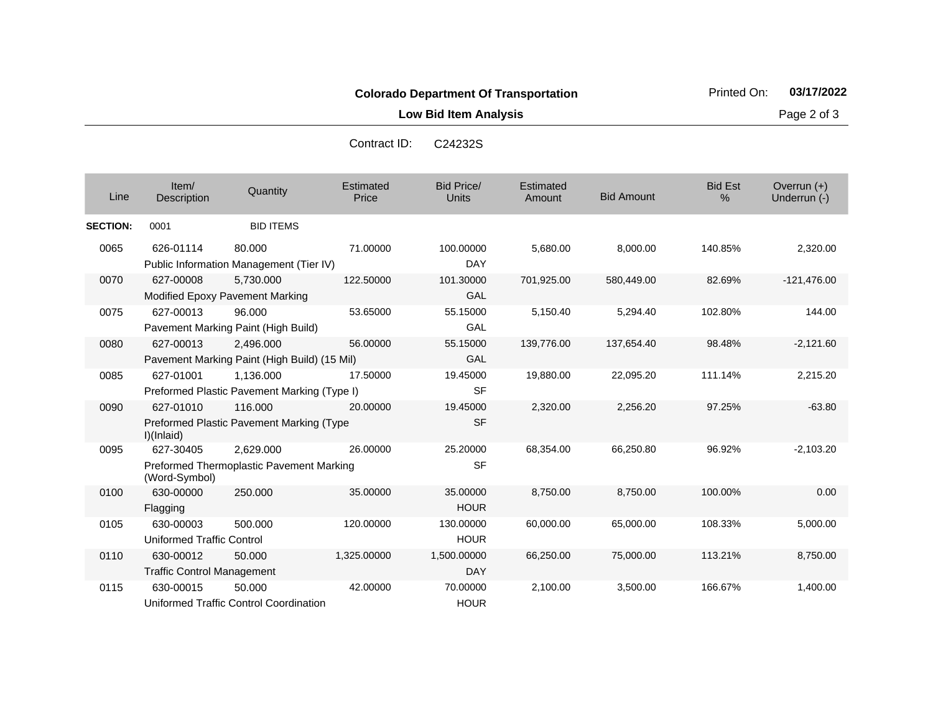**Low Bid Item Analysis Page 2 of 3** 

| C <sub>24232</sub> S |
|----------------------|
|                      |

| Line            | Item/<br>Description                           | Quantity                                                  | Estimated<br>Price | <b>Bid Price/</b><br><b>Units</b> | Estimated<br>Amount | <b>Bid Amount</b> | <b>Bid Est</b><br>$\%$ | Overrun $(+)$<br>Underrun (-) |
|-----------------|------------------------------------------------|-----------------------------------------------------------|--------------------|-----------------------------------|---------------------|-------------------|------------------------|-------------------------------|
| <b>SECTION:</b> | 0001                                           | <b>BID ITEMS</b>                                          |                    |                                   |                     |                   |                        |                               |
| 0065            | 626-01114                                      | 80.000<br>Public Information Management (Tier IV)         | 71.00000           | 100.00000<br>DAY                  | 5,680.00            | 8,000.00          | 140.85%                | 2,320.00                      |
| 0070            | 627-00008                                      | 5,730.000<br>Modified Epoxy Pavement Marking              | 122.50000          | 101.30000<br>GAL                  | 701,925.00          | 580,449.00        | 82.69%                 | $-121,476.00$                 |
| 0075            | 627-00013                                      | 96.000<br>Pavement Marking Paint (High Build)             | 53.65000           | 55.15000<br>GAL                   | 5,150.40            | 5,294.40          | 102.80%                | 144.00                        |
| 0080            | 627-00013                                      | 2,496.000<br>Pavement Marking Paint (High Build) (15 Mil) | 56.00000           | 55.15000<br>GAL                   | 139,776.00          | 137,654.40        | 98.48%                 | $-2,121.60$                   |
| 0085            | 627-01001                                      | 1,136.000<br>Preformed Plastic Pavement Marking (Type I)  | 17.50000           | 19.45000<br><b>SF</b>             | 19,880.00           | 22,095.20         | 111.14%                | 2,215.20                      |
| 0090            | 627-01010<br>I)(Inlaid)                        | 116,000<br>Preformed Plastic Pavement Marking (Type       | 20.00000           | 19.45000<br><b>SF</b>             | 2,320.00            | 2,256.20          | 97.25%                 | $-63.80$                      |
| 0095            | 627-30405<br>(Word-Symbol)                     | 2.629.000<br>Preformed Thermoplastic Pavement Marking     | 26.00000           | 25.20000<br><b>SF</b>             | 68,354.00           | 66,250.80         | 96.92%                 | $-2,103.20$                   |
| 0100            | 630-00000<br>Flagging                          | 250.000                                                   | 35.00000           | 35.00000<br><b>HOUR</b>           | 8,750.00            | 8,750.00          | 100.00%                | 0.00                          |
| 0105            | 630-00003<br>Uniformed Traffic Control         | 500.000                                                   | 120.00000          | 130.00000<br><b>HOUR</b>          | 60,000.00           | 65,000.00         | 108.33%                | 5,000.00                      |
| 0110            | 630-00012<br><b>Traffic Control Management</b> | 50.000                                                    | 1,325.00000        | 1,500.00000<br><b>DAY</b>         | 66,250.00           | 75,000.00         | 113.21%                | 8,750.00                      |
| 0115            | 630-00015                                      | 50.000<br>Uniformed Traffic Control Coordination          | 42.00000           | 70.00000<br><b>HOUR</b>           | 2,100.00            | 3,500.00          | 166.67%                | 1,400.00                      |